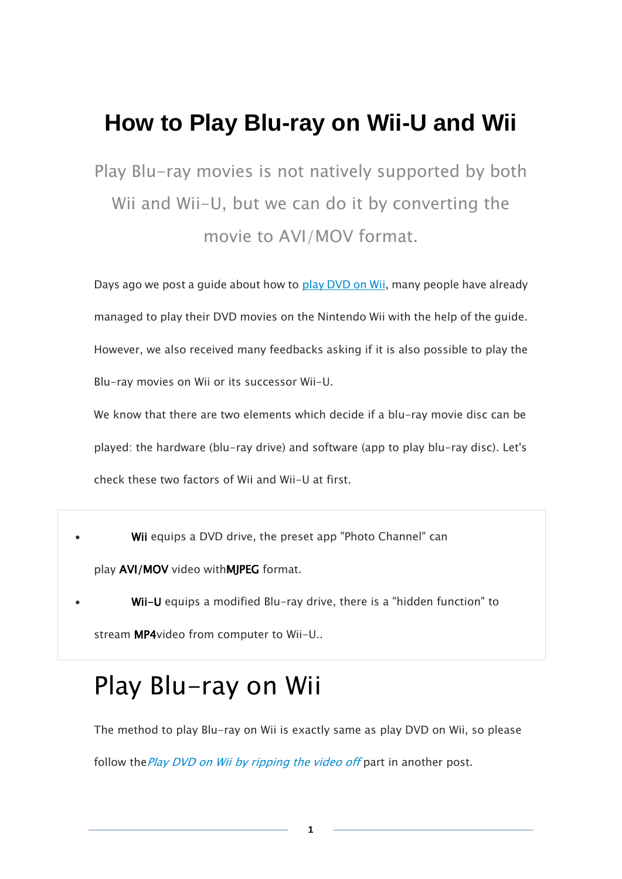## **How to Play Blu-ray on Wii-U and Wii**

Play Blu-ray movies is not natively supported by both Wii and Wii-U, but we can do it by converting the movie to AVI/MOV format.

Days ago we post a quide about how to [play DVD on Wii,](http://www.imelfin.com/how-to-play-dvd-movies-on-wii.html) many people have already managed to play their DVD movies on the Nintendo Wii with the help of the guide. However, we also received many feedbacks asking if it is also possible to play the Blu-ray movies on Wii or its successor Wii-U.

We know that there are two elements which decide if a blu-ray movie disc can be played: the hardware (blu-ray drive) and software (app to play blu-ray disc). Let's check these two factors of Wii and Wii-U at first.

Wii equips a DVD drive, the preset app "Photo Channel" can

play AVI/MOV video withMJPEG format.

Wii-U equips a modified Blu-ray drive, there is a "hidden function" to stream MP4video from computer to Wii-U..

## Play Blu-ray on Wii

The method to play Blu-ray on Wii is exactly same as play DVD on Wii, so please follow the [Play DVD on Wii by ripping the video off](http://www.imelfin.com/how-to-play-dvd-movies-on-wii.html%23m1) part in another post.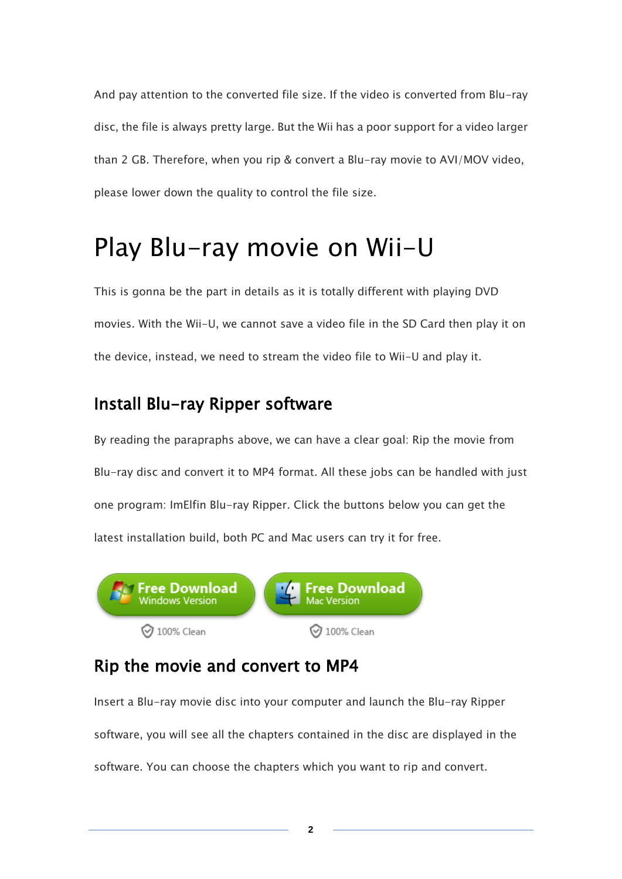And pay attention to the converted file size. If the video is converted from Blu-ray disc, the file is always pretty large. But the Wii has a poor support for a video larger than 2 GB. Therefore, when you rip & convert a Blu-ray movie to AVI/MOV video, please lower down the quality to control the file size.

# Play Blu-ray movie on Wii-U

This is gonna be the part in details as it is totally different with playing DVD movies. With the Wii-U, we cannot save a video file in the SD Card then play it on the device, instead, we need to stream the video file to Wii-U and play it.

#### Install Blu-ray Ripper software

By reading the parapraphs above, we can have a clear goal: Rip the movie from Blu-ray disc and convert it to MP4 format. All these jobs can be handled with just one program: ImElfin Blu-ray Ripper. Click the buttons below you can get the latest installation build, both PC and Mac users can try it for free.



#### Rip the movie and convert to MP4

Insert a Blu-ray movie disc into your computer and launch the Blu-ray Ripper software, you will see all the chapters contained in the disc are displayed in the software. You can choose the chapters which you want to rip and convert.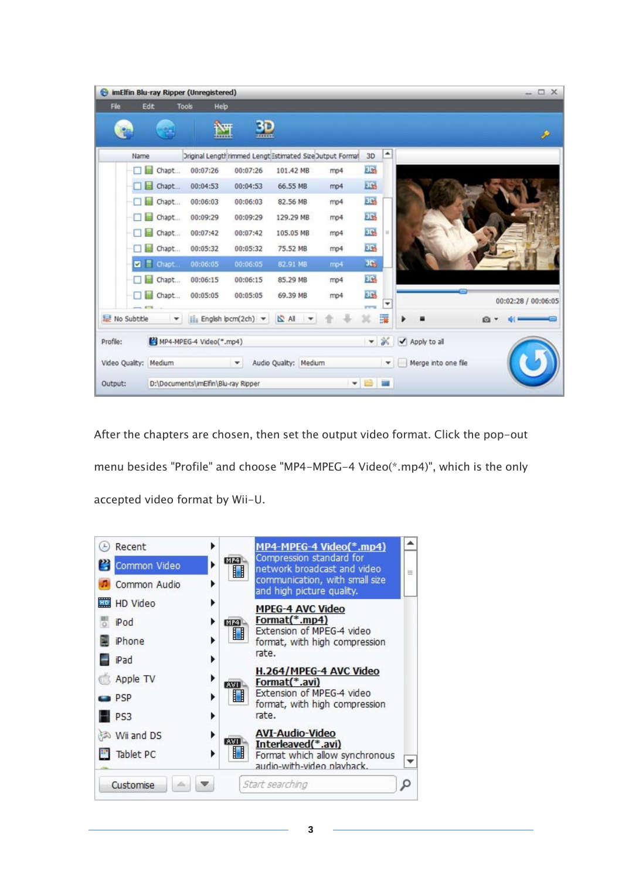| $\bullet$                                                                                                       |      |                                       | imElfin Blu-ray Ripper (Unregistered)                    |          |           |     |                     |              |                     | $-\Box$ X           |
|-----------------------------------------------------------------------------------------------------------------|------|---------------------------------------|----------------------------------------------------------|----------|-----------|-----|---------------------|--------------|---------------------|---------------------|
| File                                                                                                            |      | Edit                                  | <b>Tools</b><br>Help                                     |          |           |     |                     |              |                     |                     |
|                                                                                                                 |      |                                       | iv <sub>er</sub><br><b>1</b>                             | 3D       |           |     |                     |              |                     | P                   |
|                                                                                                                 | Name |                                       | Driginal Lengthrimmed Lengt Estimated Size Dutput Formal |          |           |     | 3D                  | ۸            |                     |                     |
|                                                                                                                 | П    | ы<br>Chapt                            | 00:07:26                                                 | 00:07:26 | 101.42 MB | mp4 | EB                  |              |                     |                     |
|                                                                                                                 |      | <b>Chapt</b>                          | 00:04:53                                                 | 00:04:53 | 66.55 MB  | mp4 | <b>ELS</b>          |              |                     |                     |
|                                                                                                                 | п    | Chapt                                 | 00:06:03                                                 | 00:06:03 | 82.56 MB  | mp4 | <b>ELS</b>          |              |                     |                     |
|                                                                                                                 |      | chapt                                 | 00:09:29                                                 | 00:09:29 | 129.29 MB | mp4 | ED <sub>2</sub>     |              |                     |                     |
|                                                                                                                 |      | Chapt                                 | 00:07:42                                                 | 00:07:42 | 105.05 MB | mp4 | EB.                 | u            |                     |                     |
|                                                                                                                 | и    | chapt                                 | 00:05:32                                                 | 00:05:32 | 75.52 MB  | mp4 | a.                  |              |                     |                     |
|                                                                                                                 |      | <b>Z</b> E Chapt                      | 00:06:05                                                 | 00:06:05 | 82.91 MB  | mp4 | elle.               |              |                     |                     |
|                                                                                                                 |      | Chapt<br>ы                            | 00:06:15                                                 | 00:06:15 | 85.29 MB  | mp4 | EL.                 |              |                     |                     |
|                                                                                                                 |      | Chapt                                 | 00:05:05                                                 | 00:05:05 | 69.39 MB  | mp4 | ÜЪ,<br><b>CYTIN</b> | ٠            |                     | 00:02:28 / 00:06:05 |
| IS All<br>No Subtitle<br>$\left  \cdot \right $ English (pcm(2ch) $\left  \right $<br>$\boldsymbol{\mathrm{v}}$ |      |                                       |                                                          |          |           |     | 薓                   | Q            |                     |                     |
| Profile:                                                                                                        |      | MP4-MPEG-4 Video(".mp4)               |                                                          |          |           |     | $\mathbf{v}$        | ×            | Apply to all<br>✓   |                     |
| Video Quality: Medium                                                                                           |      | Audio Quality: Medium<br>$\mathbf{v}$ |                                                          |          |           |     |                     | $\mathbf{v}$ | Merge into one file |                     |
| Output:                                                                                                         |      | D:\Documents\imElfin\Blu-ray Ripper   |                                                          |          |           |     |                     | <b>* 8 8</b> |                     |                     |

After the chapters are chosen, then set the output video format. Click the pop-out menu besides "Profile" and choose "MP4-MPEG-4 Video(\*.mp4)", which is the only accepted video format by Wii-U.